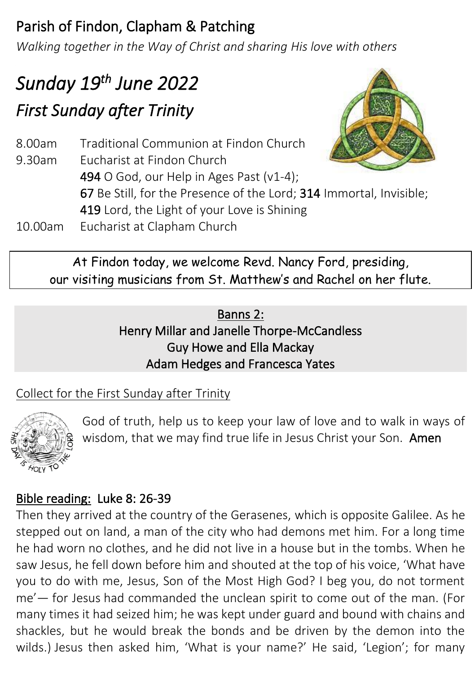## Parish of Findon, Clapham & Patching

*Walking together in the Way of Christ and sharing His love with others*

# *Sunday 19 th June 2022 First Sunday after Trinity*

8.00am Traditional Communion at Findon Church 9.30am Eucharist at Findon Church 494 O God, our Help in Ages Past (v1-4); 67 Be Still, for the Presence of the Lord; 314 Immortal, Invisible; 419 Lord, the Light of your Love is Shining 10.00am Eucharist at Clapham Church

At Findon today, we welcome Revd. Nancy Ford, presiding, our visiting musicians from St. Matthew's and Rachel on her flute.

### Banns 2: Henry Millar and Janelle Thorpe-McCandless Guy Howe and Ella Mackay Adam Hedges and Francesca Yates

## Collect for the First Sunday after Trinity



God of truth, help us to keep your law of love and to walk in ways of wisdom, that we may find true life in Jesus Christ your Son. Amen

## Bible reading: Luke 8: 26-39

Then they arrived at the country of the Gerasenes, which is opposite Galilee. As he stepped out on land, a man of the city who had demons met him. For a long time he had worn no clothes, and he did not live in a house but in the tombs. When he saw Jesus, he fell down before him and shouted at the top of his voice, 'What have you to do with me, Jesus, Son of the Most High God? I beg you, do not torment me'— for Jesus had commanded the unclean spirit to come out of the man. (For many times it had seized him; he was kept under guard and bound with chains and shackles, but he would break the bonds and be driven by the demon into the wilds.) Jesus then asked him, 'What is your name?' He said, 'Legion'; for many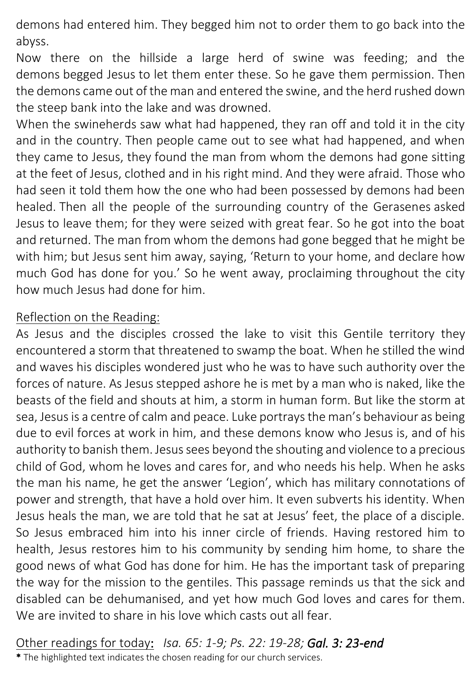demons had entered him. They begged him not to order them to go back into the abyss.

Now there on the hillside a large herd of swine was feeding; and the demons begged Jesus to let them enter these. So he gave them permission. Then the demons came out of the man and entered the swine, and the herd rushed down the steep bank into the lake and was drowned.

When the swineherds saw what had happened, they ran off and told it in the city and in the country. Then people came out to see what had happened, and when they came to Jesus, they found the man from whom the demons had gone sitting at the feet of Jesus, clothed and in his right mind. And they were afraid. Those who had seen it told them how the one who had been possessed by demons had been healed. Then all the people of the surrounding country of the Gerasenes asked Jesus to leave them; for they were seized with great fear. So he got into the boat and returned. The man from whom the demons had gone begged that he might be with him; but Jesus sent him away, saying, 'Return to your home, and declare how much God has done for you.' So he went away, proclaiming throughout the city how much Jesus had done for him.

#### Reflection on the Reading:

As Jesus and the disciples crossed the lake to visit this Gentile territory they encountered a storm that threatened to swamp the boat. When he stilled the wind and waves his disciples wondered just who he was to have such authority over the forces of nature. As Jesus stepped ashore he is met by a man who is naked, like the beasts of the field and shouts at him, a storm in human form. But like the storm at sea, Jesus is a centre of calm and peace. Luke portrays the man's behaviour as being due to evil forces at work in him, and these demons know who Jesus is, and of his authority to banish them. Jesus sees beyond the shouting and violence to a precious child of God, whom he loves and cares for, and who needs his help. When he asks the man his name, he get the answer 'Legion', which has military connotations of power and strength, that have a hold over him. It even subverts his identity. When Jesus heals the man, we are told that he sat at Jesus' feet, the place of a disciple. So Jesus embraced him into his inner circle of friends. Having restored him to health, Jesus restores him to his community by sending him home, to share the good news of what God has done for him. He has the important task of preparing the way for the mission to the gentiles. This passage reminds us that the sick and disabled can be dehumanised, and yet how much God loves and cares for them. We are invited to share in his love which casts out all fear.

Other readings for today: *Isa. 65: 1-9; Ps. 22: 19-28; Gal. 3: 23-end* \* The highlighted text indicates the chosen reading for our church services.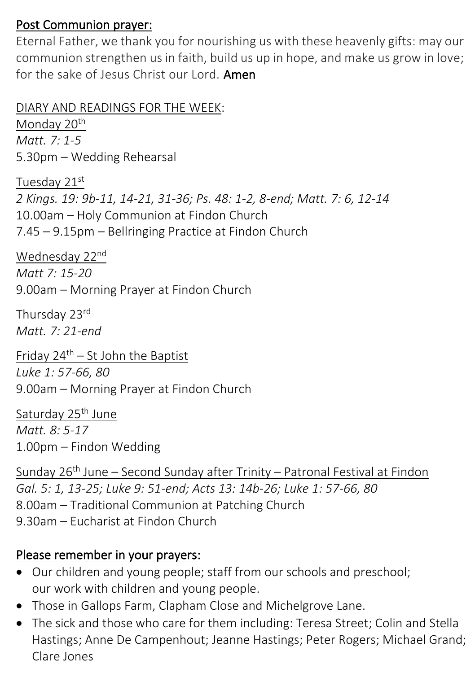#### Post Communion prayer:

Eternal Father, we thank you for nourishing us with these heavenly gifts: may our communion strengthen us in faith, build us up in hope, and make us grow in love; for the sake of Jesus Christ our Lord. **Amen** 

DIARY AND READINGS FOR THE WEEK:

Monday 20<sup>th</sup> *Matt. 7: 1-5* 5.30pm – Wedding Rehearsal

Tuesday 21st *2 Kings. 19: 9b-11, 14-21, 31-36; Ps. 48: 1-2, 8-end; Matt. 7: 6, 12-14* 10.00am – Holy Communion at Findon Church 7.45 – 9.15pm – Bellringing Practice at Findon Church

Wednesday 22nd *Matt 7: 15-20* 9.00am – Morning Prayer at Findon Church

Thursday 23rd *Matt. 7: 21-end*

Friday  $24^{th}$  – St John the Baptist *Luke 1: 57-66, 80* 9.00am – Morning Prayer at Findon Church

Saturday 25<sup>th</sup> June *Matt. 8: 5-17* 1.00pm – Findon Wedding

Sunday 26<sup>th</sup> June – Second Sunday after Trinity – Patronal Festival at Findon *Gal. 5: 1, 13-25; Luke 9: 51-end; Acts 13: 14b-26; Luke 1: 57-66, 80* 8.00am – Traditional Communion at Patching Church 9.30am – Eucharist at Findon Church

#### Please remember in your prayers:

- Our children and young people; staff from our schools and preschool; our work with children and young people.
- Those in Gallops Farm, Clapham Close and Michelgrove Lane.
- The sick and those who care for them including: Teresa Street; Colin and Stella Hastings; Anne De Campenhout; Jeanne Hastings; Peter Rogers; Michael Grand; Clare Jones